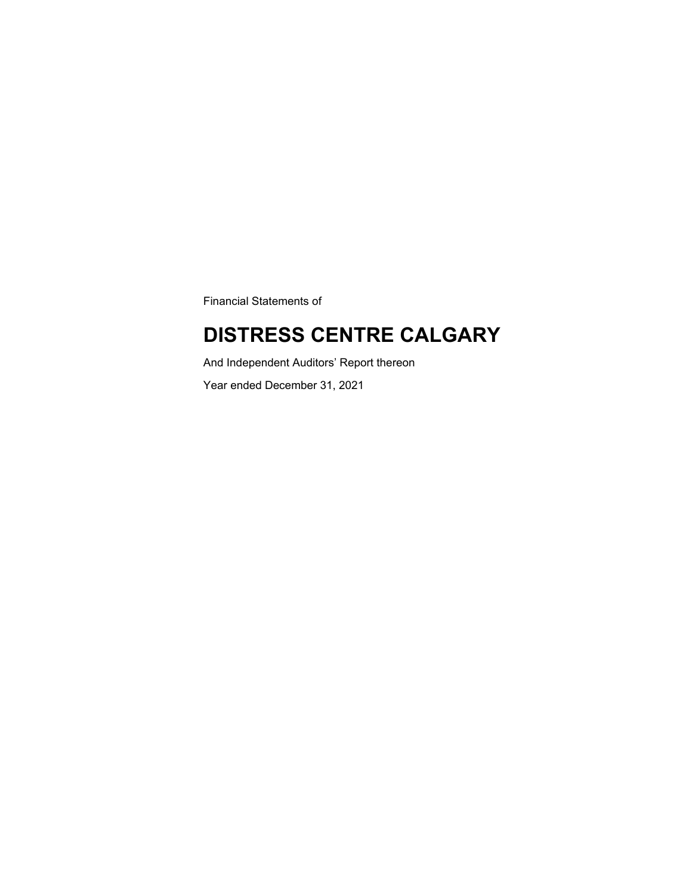Financial Statements of

# **DISTRESS CENTRE CALGARY**

And Independent Auditors' Report thereon

Year ended December 31, 2021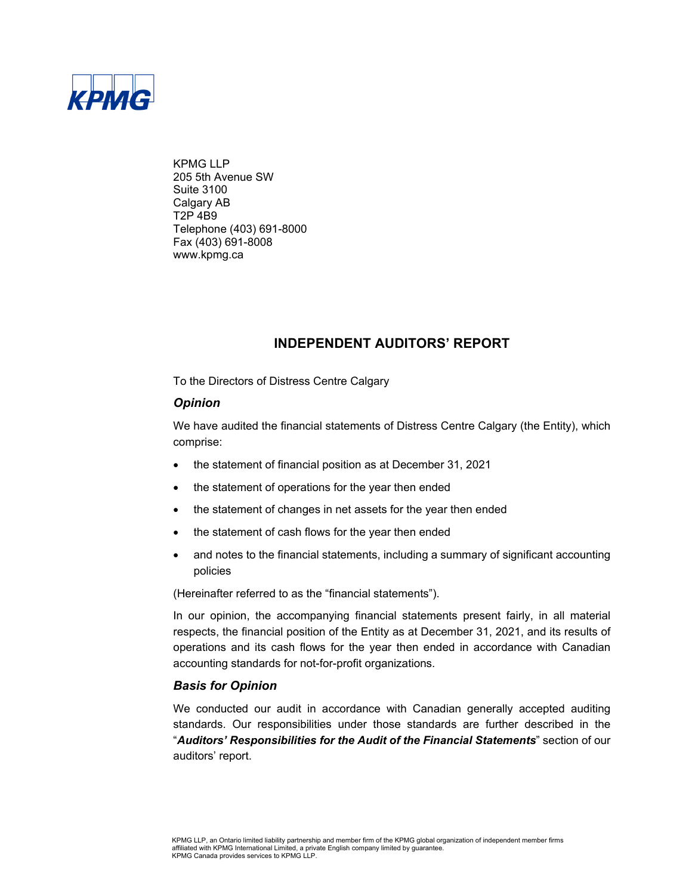

KPMG LLP 205 5th Avenue SW Suite 3100 Calgary AB T2P 4B9 Telephone (403) 691-8000 Fax (403) 691-8008 www.kpmg.ca

### **INDEPENDENT AUDITORS' REPORT**

To the Directors of Distress Centre Calgary

### *Opinion*

We have audited the financial statements of Distress Centre Calgary (the Entity), which comprise:

- the statement of financial position as at December 31, 2021
- the statement of operations for the year then ended
- the statement of changes in net assets for the year then ended
- the statement of cash flows for the year then ended
- and notes to the financial statements, including a summary of significant accounting policies

(Hereinafter referred to as the "financial statements").

In our opinion, the accompanying financial statements present fairly, in all material respects, the financial position of the Entity as at December 31, 2021, and its results of operations and its cash flows for the year then ended in accordance with Canadian accounting standards for not-for-profit organizations.

### *Basis for Opinion*

We conducted our audit in accordance with Canadian generally accepted auditing standards. Our responsibilities under those standards are further described in the "*Auditors' Responsibilities for the Audit of the Financial Statements*" section of our auditors' report.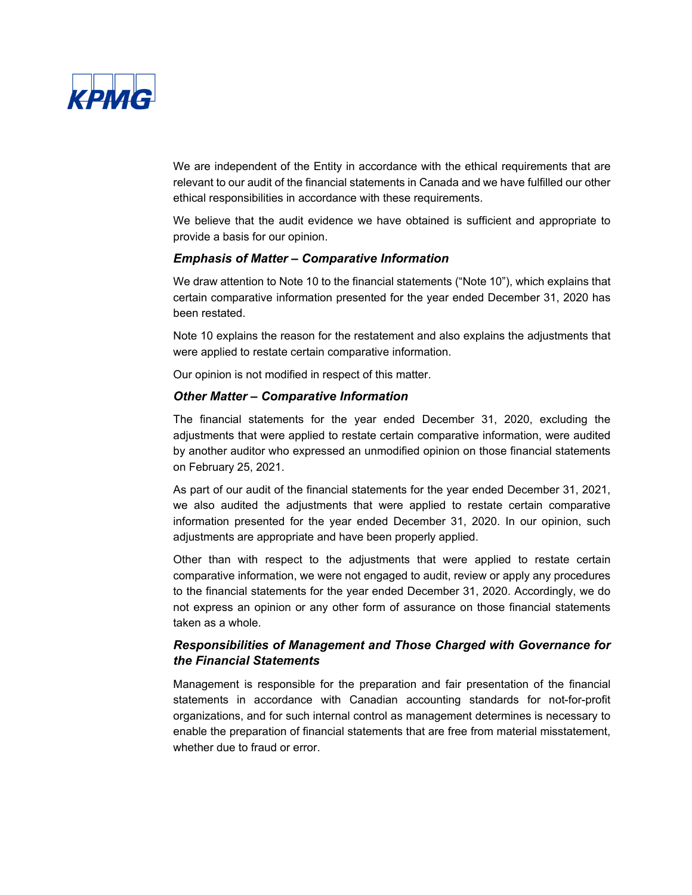

We are independent of the Entity in accordance with the ethical requirements that are relevant to our audit of the financial statements in Canada and we have fulfilled our other ethical responsibilities in accordance with these requirements.

We believe that the audit evidence we have obtained is sufficient and appropriate to provide a basis for our opinion.

### *Emphasis of Matter – Comparative Information*

We draw attention to Note 10 to the financial statements ("Note 10"), which explains that certain comparative information presented for the year ended December 31, 2020 has been restated.

Note 10 explains the reason for the restatement and also explains the adjustments that were applied to restate certain comparative information.

Our opinion is not modified in respect of this matter.

### *Other Matter – Comparative Information*

The financial statements for the year ended December 31, 2020, excluding the adjustments that were applied to restate certain comparative information, were audited by another auditor who expressed an unmodified opinion on those financial statements on February 25, 2021.

As part of our audit of the financial statements for the year ended December 31, 2021, we also audited the adjustments that were applied to restate certain comparative information presented for the year ended December 31, 2020. In our opinion, such adjustments are appropriate and have been properly applied.

Other than with respect to the adjustments that were applied to restate certain comparative information, we were not engaged to audit, review or apply any procedures to the financial statements for the year ended December 31, 2020. Accordingly, we do not express an opinion or any other form of assurance on those financial statements taken as a whole.

### *Responsibilities of Management and Those Charged with Governance for the Financial Statements*

Management is responsible for the preparation and fair presentation of the financial statements in accordance with Canadian accounting standards for not-for-profit organizations, and for such internal control as management determines is necessary to enable the preparation of financial statements that are free from material misstatement, whether due to fraud or error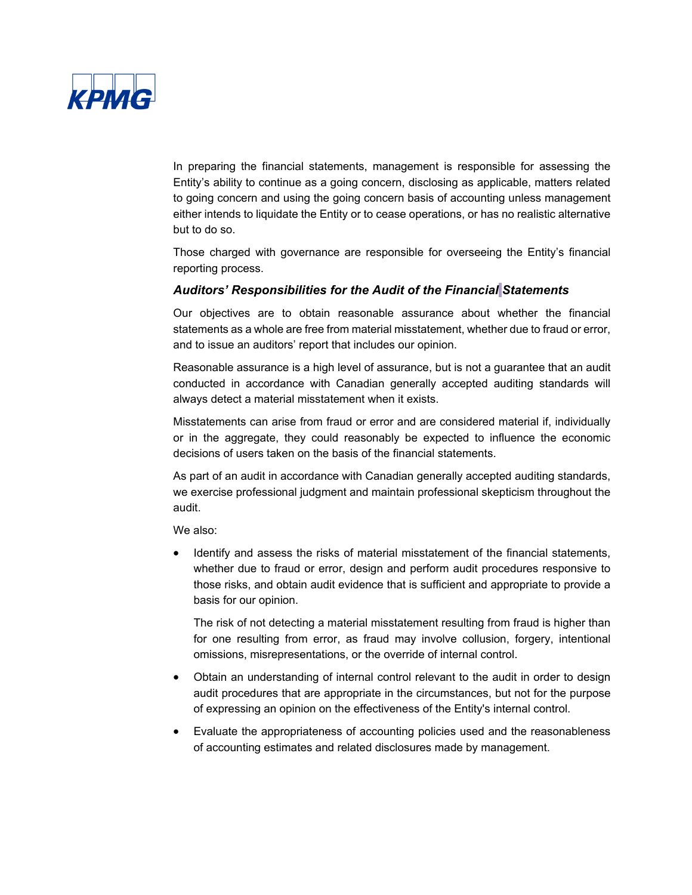

In preparing the financial statements, management is responsible for assessing the Entity's ability to continue as a going concern, disclosing as applicable, matters related to going concern and using the going concern basis of accounting unless management either intends to liquidate the Entity or to cease operations, or has no realistic alternative but to do so.

Those charged with governance are responsible for overseeing the Entity's financial reporting process.

### *Auditors' Responsibilities for the Audit of the Financial Statements*

Our objectives are to obtain reasonable assurance about whether the financial statements as a whole are free from material misstatement, whether due to fraud or error, and to issue an auditors' report that includes our opinion.

Reasonable assurance is a high level of assurance, but is not a guarantee that an audit conducted in accordance with Canadian generally accepted auditing standards will always detect a material misstatement when it exists.

Misstatements can arise from fraud or error and are considered material if, individually or in the aggregate, they could reasonably be expected to influence the economic decisions of users taken on the basis of the financial statements.

As part of an audit in accordance with Canadian generally accepted auditing standards, we exercise professional judgment and maintain professional skepticism throughout the audit.

We also:

 Identify and assess the risks of material misstatement of the financial statements, whether due to fraud or error, design and perform audit procedures responsive to those risks, and obtain audit evidence that is sufficient and appropriate to provide a basis for our opinion.

The risk of not detecting a material misstatement resulting from fraud is higher than for one resulting from error, as fraud may involve collusion, forgery, intentional omissions, misrepresentations, or the override of internal control.

- Obtain an understanding of internal control relevant to the audit in order to design audit procedures that are appropriate in the circumstances, but not for the purpose of expressing an opinion on the effectiveness of the Entity's internal control.
- Evaluate the appropriateness of accounting policies used and the reasonableness of accounting estimates and related disclosures made by management.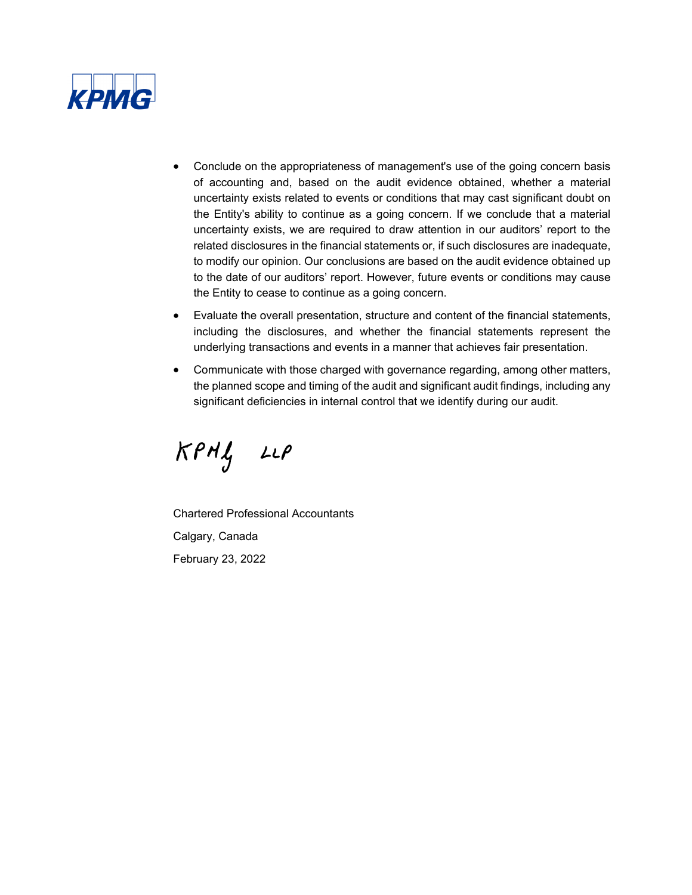

- Conclude on the appropriateness of management's use of the going concern basis of accounting and, based on the audit evidence obtained, whether a material uncertainty exists related to events or conditions that may cast significant doubt on the Entity's ability to continue as a going concern. If we conclude that a material uncertainty exists, we are required to draw attention in our auditors' report to the related disclosures in the financial statements or, if such disclosures are inadequate, to modify our opinion. Our conclusions are based on the audit evidence obtained up to the date of our auditors' report. However, future events or conditions may cause the Entity to cease to continue as a going concern.
- Evaluate the overall presentation, structure and content of the financial statements, including the disclosures, and whether the financial statements represent the underlying transactions and events in a manner that achieves fair presentation.
- Communicate with those charged with governance regarding, among other matters, the planned scope and timing of the audit and significant audit findings, including any significant deficiencies in internal control that we identify during our audit.

KPMY LLP

Chartered Professional Accountants Calgary, Canada February 23, 2022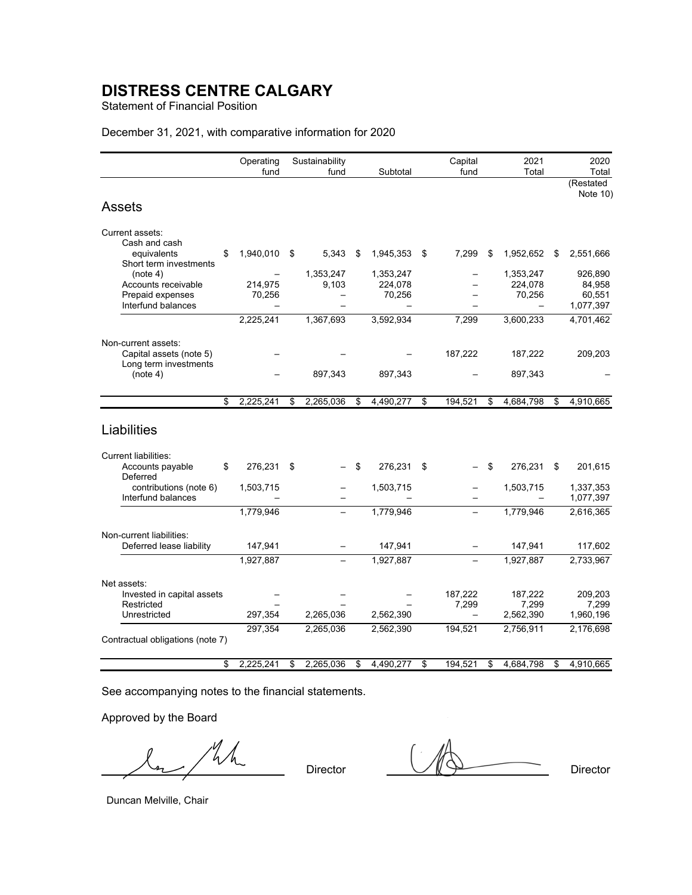Statement of Financial Position

### December 31, 2021, with comparative information for 2020

|                                                          | Operating | Sustainability           |                 | Capital                  | 2021             | 2020                   |
|----------------------------------------------------------|-----------|--------------------------|-----------------|--------------------------|------------------|------------------------|
|                                                          | fund      | fund                     | Subtotal        | fund                     | Total            | Total<br>(Restated     |
| <b>Assets</b>                                            |           |                          |                 |                          |                  | Note $10$ )            |
| Current assets:                                          |           |                          |                 |                          |                  |                        |
| Cash and cash<br>equivalents<br>\$                       | 1,940,010 | \$<br>5,343              | \$<br>1,945,353 | \$<br>7,299              | \$<br>1,952,652  | \$<br>2,551,666        |
| Short term investments<br>(note 4)                       |           | 1,353,247                | 1,353,247       |                          | 1,353,247        | 926,890                |
| Accounts receivable                                      | 214,975   | 9,103                    | 224,078         |                          | 224,078          | 84,958                 |
| Prepaid expenses<br>Interfund balances                   | 70,256    |                          | 70,256          |                          | 70,256           | 60,551                 |
|                                                          |           |                          |                 |                          |                  | 1,077,397              |
|                                                          | 2,225,241 | 1,367,693                | 3,592,934       | 7,299                    | 3,600,233        | 4,701,462              |
| Non-current assets:<br>Capital assets (note 5)           |           |                          |                 | 187,222                  | 187,222          | 209,203                |
| Long term investments                                    |           |                          |                 |                          |                  |                        |
| (note 4)                                                 |           | 897,343                  | 897,343         |                          | 897,343          |                        |
| \$                                                       | 2,225,241 | \$<br>2,265,036          | \$<br>4,490,277 | \$<br>194,521            | \$<br>4,684,798  | \$<br>4,910,665        |
| Liabilities                                              |           |                          |                 |                          |                  |                        |
| <b>Current liabilities:</b><br>Accounts payable<br>\$    | 276,231   | \$                       | \$<br>276,231   | \$                       | \$<br>276,231    | \$<br>201,615          |
| Deferred<br>contributions (note 6)<br>Interfund balances | 1,503,715 |                          | 1,503,715       |                          | 1,503,715        | 1,337,353<br>1,077,397 |
|                                                          | 1,779,946 | $\overline{\phantom{0}}$ | 1,779,946       | $\overline{\phantom{0}}$ | 1,779,946        | 2,616,365              |
|                                                          |           |                          |                 |                          |                  |                        |
| Non-current liabilities:<br>Deferred lease liability     | 147,941   |                          | 147,941         |                          | 147,941          | 117,602                |
|                                                          | 1,927,887 |                          | 1,927,887       |                          | 1,927,887        | 2,733,967              |
| Net assets:                                              |           |                          |                 |                          |                  |                        |
| Invested in capital assets<br>Restricted                 |           |                          |                 | 187,222<br>7,299         | 187,222<br>7,299 | 209,203<br>7,299       |
| Unrestricted                                             | 297,354   | 2,265,036                | 2,562,390       |                          | 2,562,390        | 1,960,196              |
| Contractual obligations (note 7)                         | 297,354   | 2,265,036                | 2,562,390       | 194.521                  | 2,756,911        | 2,176,698              |
| \$                                                       | 2,225,241 | \$<br>2,265,036          | \$<br>4,490,277 | \$<br>194,521            | \$<br>4,684,798  | \$<br>4.910.665        |
|                                                          |           |                          |                 |                          |                  |                        |

See accompanying notes to the financial statements.

Approved by the Board

 $D \sim 1$  Director Director Director Director

Duncan Melville, Chair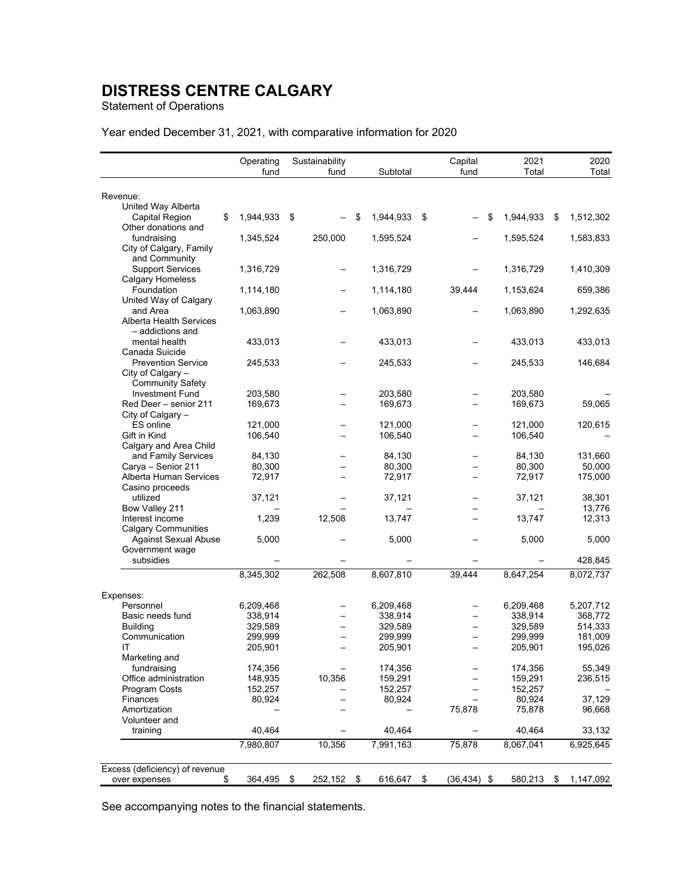Statement of Operations

### Year ended December 31, 2021, with comparative information for 2020

|                                                 | Operating            | Sustainability           |                      | Capital              | 2021                 | 2020                 |
|-------------------------------------------------|----------------------|--------------------------|----------------------|----------------------|----------------------|----------------------|
|                                                 | fund                 | fund                     | Subtotal             | fund                 | Total                | Total                |
|                                                 |                      |                          |                      |                      |                      |                      |
| Revenue:<br>United Way Alberta                  |                      |                          |                      |                      |                      |                      |
| Capital Region                                  | \$<br>1,944,933      | \$                       | \$<br>1,944,933      | \$                   | \$<br>1,944,933      | \$<br>1,512,302      |
| Other donations and                             |                      |                          |                      |                      |                      |                      |
| fundraising                                     | 1,345,524            | 250,000                  | 1,595,524            |                      | 1,595,524            | 1,583,833            |
| City of Calgary, Family                         |                      |                          |                      |                      |                      |                      |
| and Community                                   |                      |                          |                      |                      |                      |                      |
| <b>Support Services</b>                         | 1,316,729            |                          | 1,316,729            |                      | 1,316,729            | 1,410,309            |
| <b>Calgary Homeless</b>                         |                      |                          |                      |                      |                      |                      |
| Foundation                                      | 1,114,180            |                          | 1,114,180            | 39,444               | 1,153,624            | 659,386              |
| United Way of Calgary                           |                      |                          |                      |                      |                      |                      |
| and Area                                        | 1,063,890            |                          | 1,063,890            |                      | 1,063,890            | 1,292,635            |
| Alberta Health Services                         |                      |                          |                      |                      |                      |                      |
| - addictions and                                |                      |                          |                      |                      |                      |                      |
| mental health<br>Canada Suicide                 | 433,013              |                          | 433,013              |                      | 433,013              | 433,013              |
| <b>Prevention Service</b>                       | 245,533              |                          | 245,533              |                      | 245,533              | 146,684              |
| City of Calgary -                               |                      |                          |                      |                      |                      |                      |
| <b>Community Safety</b>                         |                      |                          |                      |                      |                      |                      |
| <b>Investment Fund</b>                          | 203,580              |                          | 203,580              |                      | 203,580              |                      |
| Red Deer - senior 211                           | 169,673              |                          | 169,673              |                      | 169,673              | 59,065               |
| City of Calgary -                               |                      |                          |                      |                      |                      |                      |
| ES online                                       | 121,000              |                          | 121,000              |                      | 121,000              | 120,615              |
| Gift in Kind                                    | 106,540              |                          | 106,540              |                      | 106,540              |                      |
| Calgary and Area Child                          |                      |                          |                      |                      |                      |                      |
| and Family Services                             | 84,130               |                          | 84,130               |                      | 84,130               | 131,660              |
| Carya - Senior 211                              | 80,300               |                          | 80,300               |                      | 80,300               | 50,000               |
| Alberta Human Services                          | 72,917               |                          | 72,917               |                      | 72,917               | 175,000              |
| Casino proceeds<br>utilized                     | 37,121               |                          | 37,121               |                      | 37,121               | 38,301               |
| Bow Valley 211                                  |                      |                          |                      |                      |                      | 13,776               |
| Interest income                                 | 1,239                | 12,508                   | 13,747               |                      | 13,747               | 12,313               |
| <b>Calgary Communities</b>                      |                      |                          |                      |                      |                      |                      |
| <b>Against Sexual Abuse</b>                     | 5,000                |                          | 5,000                |                      | 5,000                | 5,000                |
| Government wage                                 |                      |                          |                      |                      |                      |                      |
| subsidies                                       |                      |                          |                      |                      |                      | 428,845              |
|                                                 | 8,345,302            | 262,508                  | 8,607,810            | 39,444               | 8,647,254            | 8,072,737            |
|                                                 |                      |                          |                      |                      |                      |                      |
| Expenses:                                       |                      |                          |                      |                      |                      |                      |
| Personnel<br>Basic needs fund                   | 6,209,468<br>338,914 | $\overline{\phantom{0}}$ | 6,209,468<br>338,914 |                      | 6,209,468<br>338,914 | 5,207,712<br>368,772 |
| <b>Building</b>                                 | 329,589              | $\overline{\phantom{0}}$ | 329,589              |                      | 329,589              | 514,333              |
| Communication                                   | 299,999              |                          | 299,999              |                      | 299,999              | 181,009              |
| IT                                              | 205,901              |                          | 205,901              |                      | 205,901              | 195,026              |
| Marketing and                                   |                      |                          |                      |                      |                      |                      |
| fundraising                                     | 174,356              |                          | 174,356              |                      | 174,356              | 55,349               |
| Office administration                           | 148,935              | 10,356                   | 159,291              |                      | 159,291              | 236,515              |
| Program Costs                                   | 152,257              |                          | 152,257              |                      | 152,257              |                      |
| Finances                                        | 80,924               |                          | 80,924               |                      | 80,924               | 37,129               |
| Amortization                                    |                      |                          |                      | 75,878               | 75,878               | 96,668               |
| Volunteer and                                   |                      |                          |                      |                      |                      |                      |
| training                                        | 40,464               |                          | 40,464               |                      | 40,464               | 33,132               |
|                                                 | 7,980,807            | 10,356                   | 7,991,163            | 75,878               | 8,067,041            | 6,925,645            |
|                                                 |                      |                          |                      |                      |                      |                      |
| Excess (deficiency) of revenue<br>over expenses | 364,495              | \$<br>252,152 \$         | 616,647              | \$<br>$(36, 434)$ \$ | 580,213 \$           | 1,147,092            |
|                                                 | \$                   |                          |                      |                      |                      |                      |

See accompanying notes to the financial statements.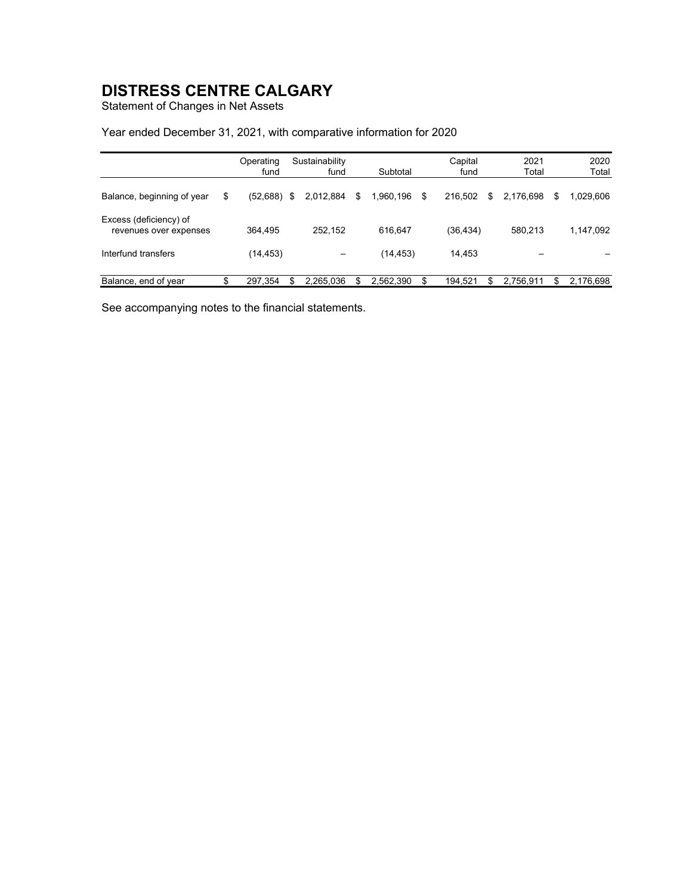Statement of Changes in Net Assets

### Year ended December 31, 2021, with comparative information for 2020

|                                                  | Operating<br>fund   | Sustainability<br>fund | Subtotal        |    | Capital<br>fund | 2021<br>Total |   | 2020<br>Total |
|--------------------------------------------------|---------------------|------------------------|-----------------|----|-----------------|---------------|---|---------------|
| Balance, beginning of year                       | \$<br>$(52,688)$ \$ | 2,012,884              | \$<br>1,960,196 | \$ | 216.502<br>S    | 2.176.698     | S | 1,029,606     |
| Excess (deficiency) of<br>revenues over expenses | 364.495             | 252.152                | 616.647         |    | (36, 434)       | 580,213       |   | 1,147,092     |
| Interfund transfers                              | (14, 453)           |                        | (14, 453)       |    | 14.453          |               |   |               |
| Balance, end of year                             | \$<br>297.354       | 2,265,036              | 2,562,390       | S. | 194.521         | 2,756,911     |   | 2,176,698     |

See accompanying notes to the financial statements.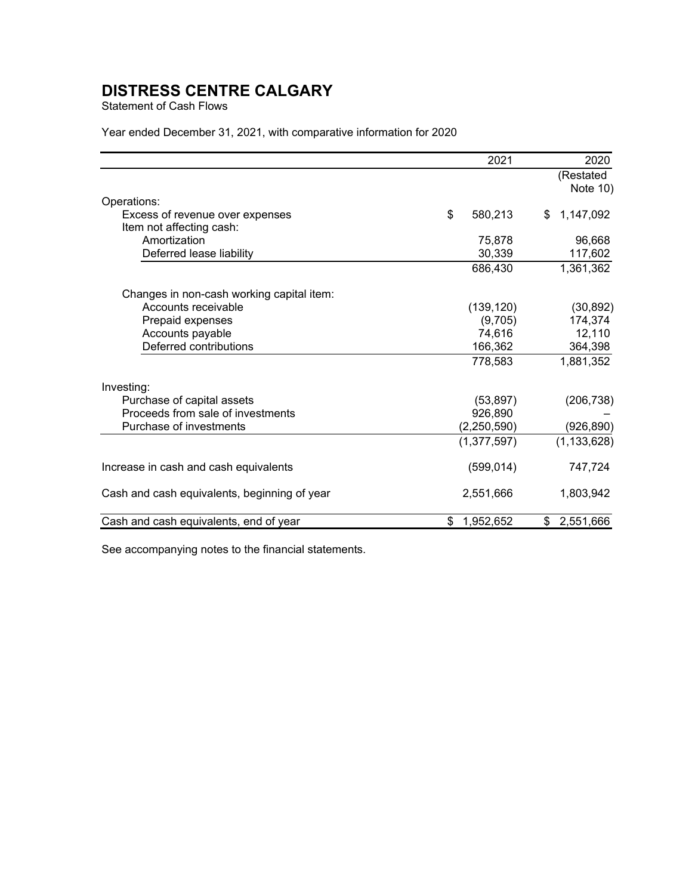Statement of Cash Flows

|                                              | 2021            | 2020            |
|----------------------------------------------|-----------------|-----------------|
|                                              |                 | (Restated       |
|                                              |                 | Note 10)        |
| Operations:                                  |                 |                 |
| Excess of revenue over expenses              | \$<br>580,213   | 1,147,092<br>\$ |
| Item not affecting cash:                     |                 |                 |
| Amortization                                 | 75,878          | 96,668          |
| Deferred lease liability                     | 30,339          | 117,602         |
|                                              | 686,430         | 1,361,362       |
| Changes in non-cash working capital item:    |                 |                 |
| Accounts receivable                          | (139, 120)      | (30, 892)       |
| Prepaid expenses                             | (9,705)         | 174,374         |
| Accounts payable                             | 74,616          | 12,110          |
| Deferred contributions                       | 166,362         | 364,398         |
|                                              | 778,583         | 1,881,352       |
| Investing:                                   |                 |                 |
| Purchase of capital assets                   | (53, 897)       | (206, 738)      |
| Proceeds from sale of investments            | 926,890         |                 |
| Purchase of investments                      | (2, 250, 590)   | (926, 890)      |
|                                              | (1, 377, 597)   | (1, 133, 628)   |
| Increase in cash and cash equivalents        | (599, 014)      | 747,724         |
| Cash and cash equivalents, beginning of year | 2,551,666       | 1,803,942       |
| Cash and cash equivalents, end of year       | 1,952,652<br>\$ | 2,551,666<br>\$ |

Year ended December 31, 2021, with comparative information for 2020

See accompanying notes to the financial statements.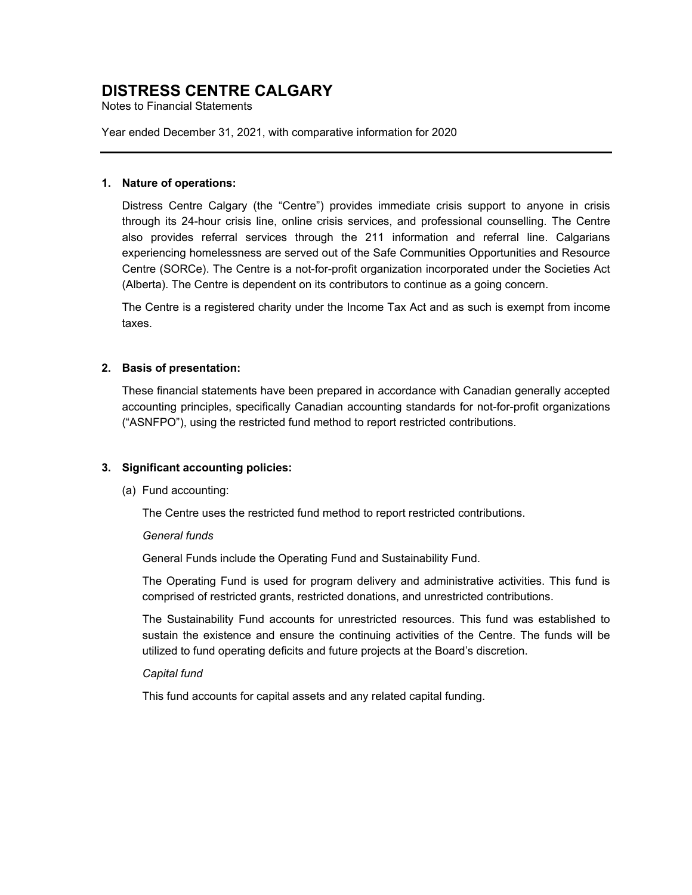Notes to Financial Statements

Year ended December 31, 2021, with comparative information for 2020

#### **1. Nature of operations:**

Distress Centre Calgary (the "Centre") provides immediate crisis support to anyone in crisis through its 24-hour crisis line, online crisis services, and professional counselling. The Centre also provides referral services through the 211 information and referral line. Calgarians experiencing homelessness are served out of the Safe Communities Opportunities and Resource Centre (SORCe). The Centre is a not-for-profit organization incorporated under the Societies Act (Alberta). The Centre is dependent on its contributors to continue as a going concern.

The Centre is a registered charity under the Income Tax Act and as such is exempt from income taxes.

### **2. Basis of presentation:**

These financial statements have been prepared in accordance with Canadian generally accepted accounting principles, specifically Canadian accounting standards for not-for-profit organizations ("ASNFPO"), using the restricted fund method to report restricted contributions.

#### **3. Significant accounting policies:**

(a) Fund accounting:

The Centre uses the restricted fund method to report restricted contributions.

#### *General funds*

General Funds include the Operating Fund and Sustainability Fund.

The Operating Fund is used for program delivery and administrative activities. This fund is comprised of restricted grants, restricted donations, and unrestricted contributions.

The Sustainability Fund accounts for unrestricted resources. This fund was established to sustain the existence and ensure the continuing activities of the Centre. The funds will be utilized to fund operating deficits and future projects at the Board's discretion.

#### *Capital fund*

This fund accounts for capital assets and any related capital funding.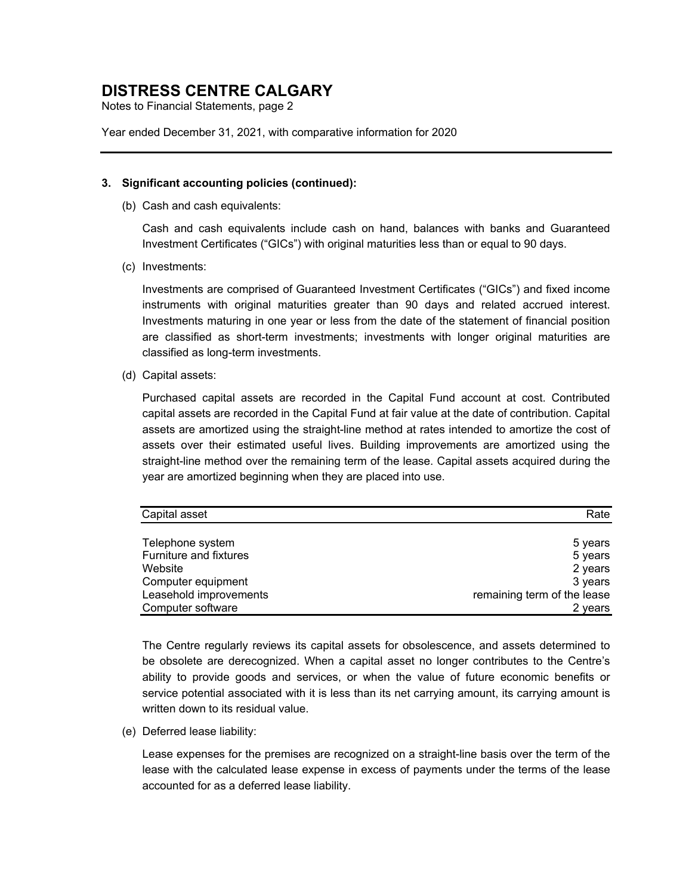Notes to Financial Statements, page 2

Year ended December 31, 2021, with comparative information for 2020

#### **3. Significant accounting policies (continued):**

(b) Cash and cash equivalents:

Cash and cash equivalents include cash on hand, balances with banks and Guaranteed Investment Certificates ("GICs") with original maturities less than or equal to 90 days.

(c) Investments:

Investments are comprised of Guaranteed Investment Certificates ("GICs") and fixed income instruments with original maturities greater than 90 days and related accrued interest. Investments maturing in one year or less from the date of the statement of financial position are classified as short-term investments; investments with longer original maturities are classified as long-term investments.

(d) Capital assets:

Purchased capital assets are recorded in the Capital Fund account at cost. Contributed capital assets are recorded in the Capital Fund at fair value at the date of contribution. Capital assets are amortized using the straight-line method at rates intended to amortize the cost of assets over their estimated useful lives. Building improvements are amortized using the straight-line method over the remaining term of the lease. Capital assets acquired during the year are amortized beginning when they are placed into use.

| Capital asset          | Rate                        |
|------------------------|-----------------------------|
|                        |                             |
| Telephone system       | 5 years                     |
| Furniture and fixtures | 5 years                     |
| Website                | 2 years                     |
| Computer equipment     | 3 years                     |
| Leasehold improvements | remaining term of the lease |
| Computer software      | 2 years                     |

The Centre regularly reviews its capital assets for obsolescence, and assets determined to be obsolete are derecognized. When a capital asset no longer contributes to the Centre's ability to provide goods and services, or when the value of future economic benefits or service potential associated with it is less than its net carrying amount, its carrying amount is written down to its residual value.

(e) Deferred lease liability:

Lease expenses for the premises are recognized on a straight-line basis over the term of the lease with the calculated lease expense in excess of payments under the terms of the lease accounted for as a deferred lease liability.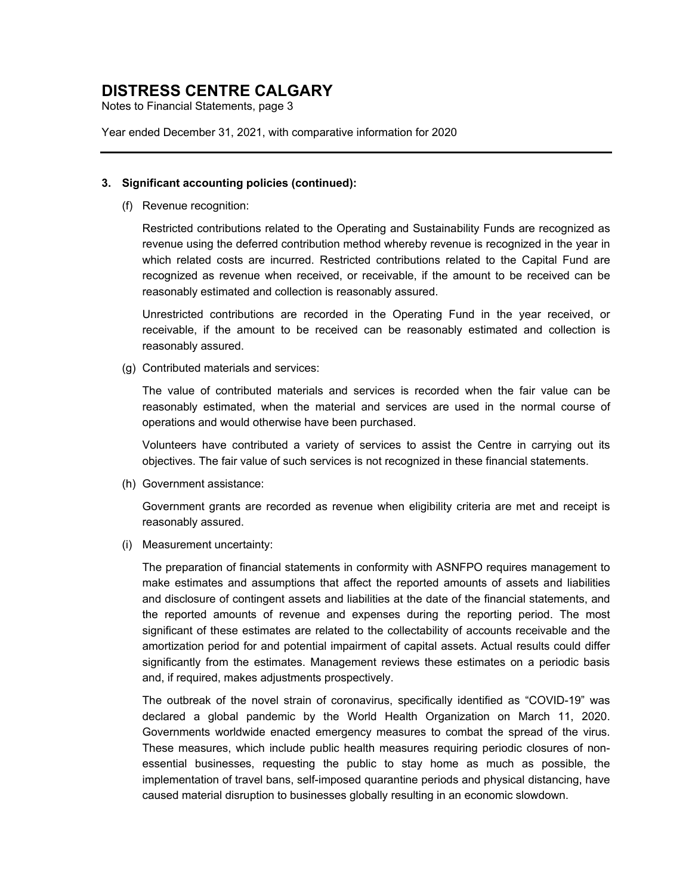Notes to Financial Statements, page 3

Year ended December 31, 2021, with comparative information for 2020

#### **3. Significant accounting policies (continued):**

(f) Revenue recognition:

Restricted contributions related to the Operating and Sustainability Funds are recognized as revenue using the deferred contribution method whereby revenue is recognized in the year in which related costs are incurred. Restricted contributions related to the Capital Fund are recognized as revenue when received, or receivable, if the amount to be received can be reasonably estimated and collection is reasonably assured.

Unrestricted contributions are recorded in the Operating Fund in the year received, or receivable, if the amount to be received can be reasonably estimated and collection is reasonably assured.

(g) Contributed materials and services:

The value of contributed materials and services is recorded when the fair value can be reasonably estimated, when the material and services are used in the normal course of operations and would otherwise have been purchased.

Volunteers have contributed a variety of services to assist the Centre in carrying out its objectives. The fair value of such services is not recognized in these financial statements.

(h) Government assistance:

Government grants are recorded as revenue when eligibility criteria are met and receipt is reasonably assured.

(i) Measurement uncertainty:

The preparation of financial statements in conformity with ASNFPO requires management to make estimates and assumptions that affect the reported amounts of assets and liabilities and disclosure of contingent assets and liabilities at the date of the financial statements, and the reported amounts of revenue and expenses during the reporting period. The most significant of these estimates are related to the collectability of accounts receivable and the amortization period for and potential impairment of capital assets. Actual results could differ significantly from the estimates. Management reviews these estimates on a periodic basis and, if required, makes adjustments prospectively.

The outbreak of the novel strain of coronavirus, specifically identified as "COVID-19" was declared a global pandemic by the World Health Organization on March 11, 2020. Governments worldwide enacted emergency measures to combat the spread of the virus. These measures, which include public health measures requiring periodic closures of nonessential businesses, requesting the public to stay home as much as possible, the implementation of travel bans, self-imposed quarantine periods and physical distancing, have caused material disruption to businesses globally resulting in an economic slowdown.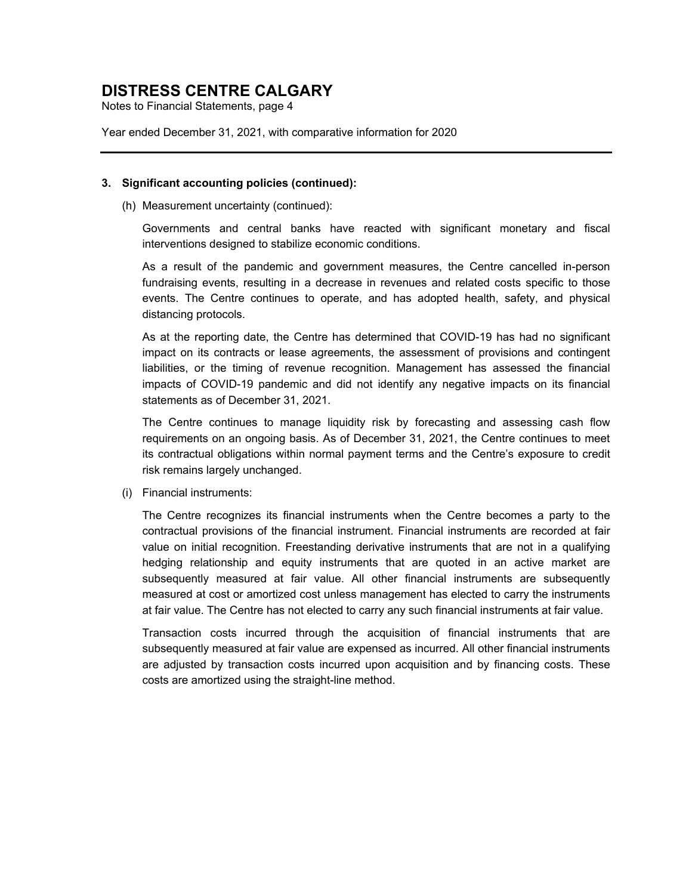Notes to Financial Statements, page 4

Year ended December 31, 2021, with comparative information for 2020

#### **3. Significant accounting policies (continued):**

(h) Measurement uncertainty (continued):

Governments and central banks have reacted with significant monetary and fiscal interventions designed to stabilize economic conditions.

As a result of the pandemic and government measures, the Centre cancelled in-person fundraising events, resulting in a decrease in revenues and related costs specific to those events. The Centre continues to operate, and has adopted health, safety, and physical distancing protocols.

As at the reporting date, the Centre has determined that COVID-19 has had no significant impact on its contracts or lease agreements, the assessment of provisions and contingent liabilities, or the timing of revenue recognition. Management has assessed the financial impacts of COVID-19 pandemic and did not identify any negative impacts on its financial statements as of December 31, 2021.

The Centre continues to manage liquidity risk by forecasting and assessing cash flow requirements on an ongoing basis. As of December 31, 2021, the Centre continues to meet its contractual obligations within normal payment terms and the Centre's exposure to credit risk remains largely unchanged.

(i) Financial instruments:

The Centre recognizes its financial instruments when the Centre becomes a party to the contractual provisions of the financial instrument. Financial instruments are recorded at fair value on initial recognition. Freestanding derivative instruments that are not in a qualifying hedging relationship and equity instruments that are quoted in an active market are subsequently measured at fair value. All other financial instruments are subsequently measured at cost or amortized cost unless management has elected to carry the instruments at fair value. The Centre has not elected to carry any such financial instruments at fair value.

Transaction costs incurred through the acquisition of financial instruments that are subsequently measured at fair value are expensed as incurred. All other financial instruments are adjusted by transaction costs incurred upon acquisition and by financing costs. These costs are amortized using the straight-line method.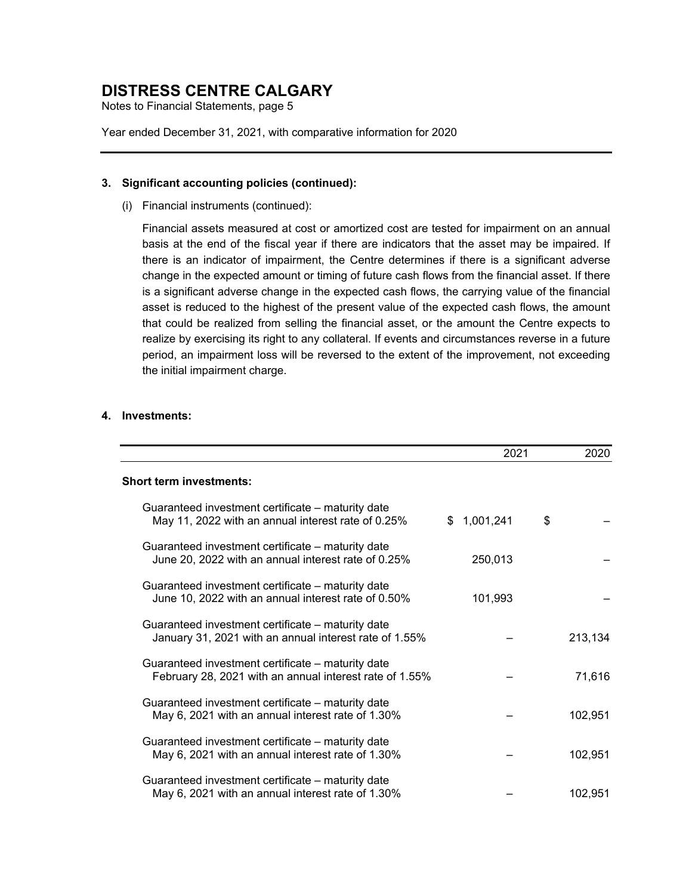Notes to Financial Statements, page 5

Year ended December 31, 2021, with comparative information for 2020

### **3. Significant accounting policies (continued):**

(i) Financial instruments (continued):

Financial assets measured at cost or amortized cost are tested for impairment on an annual basis at the end of the fiscal year if there are indicators that the asset may be impaired. If there is an indicator of impairment, the Centre determines if there is a significant adverse change in the expected amount or timing of future cash flows from the financial asset. If there is a significant adverse change in the expected cash flows, the carrying value of the financial asset is reduced to the highest of the present value of the expected cash flows, the amount that could be realized from selling the financial asset, or the amount the Centre expects to realize by exercising its right to any collateral. If events and circumstances reverse in a future period, an impairment loss will be reversed to the extent of the improvement, not exceeding the initial impairment charge.

#### **4. Investments:**

|                                                                                                              | 2021            | 2020    |
|--------------------------------------------------------------------------------------------------------------|-----------------|---------|
| <b>Short term investments:</b>                                                                               |                 |         |
| Guaranteed investment certificate – maturity date<br>May 11, 2022 with an annual interest rate of 0.25%      | 1,001,241<br>\$ | \$      |
| Guaranteed investment certificate – maturity date<br>June 20, 2022 with an annual interest rate of 0.25%     | 250,013         |         |
| Guaranteed investment certificate – maturity date<br>June 10, 2022 with an annual interest rate of 0.50%     | 101,993         |         |
| Guaranteed investment certificate – maturity date<br>January 31, 2021 with an annual interest rate of 1.55%  |                 | 213,134 |
| Guaranteed investment certificate - maturity date<br>February 28, 2021 with an annual interest rate of 1.55% |                 | 71,616  |
| Guaranteed investment certificate - maturity date<br>May 6, 2021 with an annual interest rate of 1.30%       |                 | 102,951 |
| Guaranteed investment certificate – maturity date<br>May 6, 2021 with an annual interest rate of 1.30%       |                 | 102,951 |
| Guaranteed investment certificate – maturity date<br>May 6, 2021 with an annual interest rate of 1.30%       |                 | 102,951 |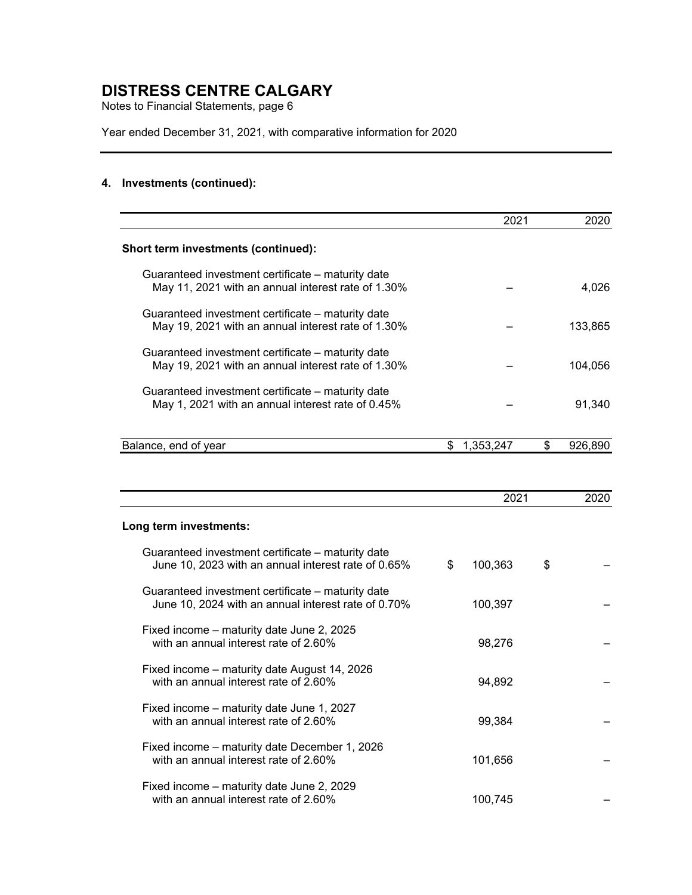Notes to Financial Statements, page 6

### Year ended December 31, 2021, with comparative information for 2020

### **4. Investments (continued):**

|                                                                                                         | 2021            | 2020    |
|---------------------------------------------------------------------------------------------------------|-----------------|---------|
| Short term investments (continued):                                                                     |                 |         |
| Guaranteed investment certificate – maturity date<br>May 11, 2021 with an annual interest rate of 1.30% |                 | 4,026   |
| Guaranteed investment certificate – maturity date<br>May 19, 2021 with an annual interest rate of 1.30% |                 | 133,865 |
| Guaranteed investment certificate – maturity date<br>May 19, 2021 with an annual interest rate of 1.30% |                 | 104,056 |
| Guaranteed investment certificate – maturity date<br>May 1, 2021 with an annual interest rate of 0.45%  |                 | 91,340  |
| Balance, end of year                                                                                    | 1,353,247<br>\$ | 926,890 |

|                                                                                                          | 2021          | 2020 |
|----------------------------------------------------------------------------------------------------------|---------------|------|
| Long term investments:                                                                                   |               |      |
| Guaranteed investment certificate – maturity date<br>June 10, 2023 with an annual interest rate of 0.65% | \$<br>100,363 | \$   |
| Guaranteed investment certificate – maturity date<br>June 10, 2024 with an annual interest rate of 0.70% | 100,397       |      |
| Fixed income – maturity date June 2, 2025<br>with an annual interest rate of 2.60%                       | 98,276        |      |
| Fixed income – maturity date August 14, 2026<br>with an annual interest rate of 2.60%                    | 94,892        |      |
| Fixed income – maturity date June 1, 2027<br>with an annual interest rate of 2.60%                       | 99,384        |      |
| Fixed income – maturity date December 1, 2026<br>with an annual interest rate of 2.60%                   | 101,656       |      |
| Fixed income – maturity date June 2, 2029<br>with an annual interest rate of 2.60%                       | 100,745       |      |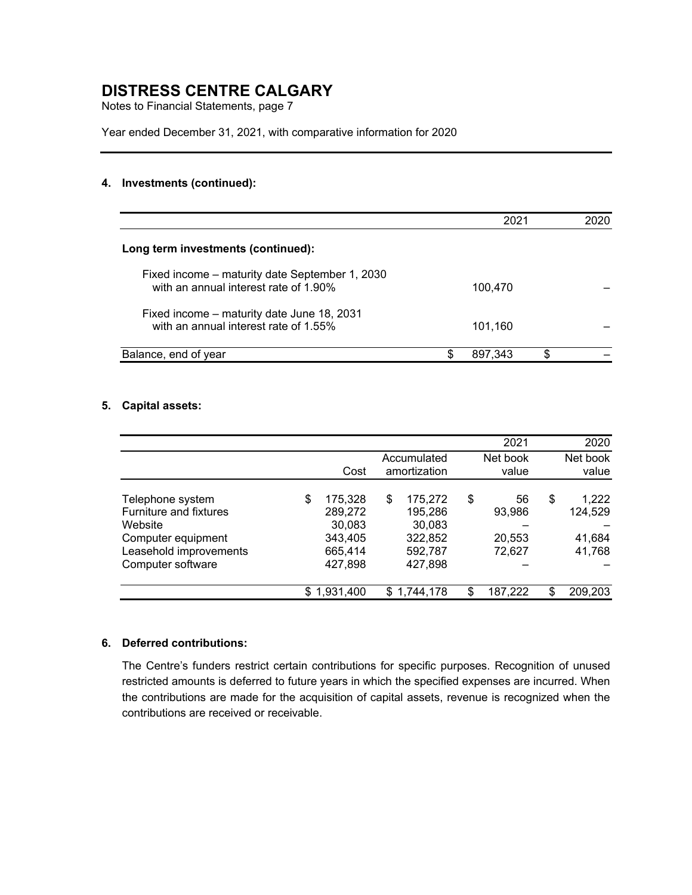Notes to Financial Statements, page 7

### Year ended December 31, 2021, with comparative information for 2020

### **4. Investments (continued):**

|                                                                                         |   | 2021    |  |
|-----------------------------------------------------------------------------------------|---|---------|--|
| Long term investments (continued):                                                      |   |         |  |
| Fixed income - maturity date September 1, 2030<br>with an annual interest rate of 1.90% |   | 100,470 |  |
| Fixed income – maturity date June 18, 2031<br>with an annual interest rate of 1.55%     |   | 101,160 |  |
| Balance, end of year                                                                    | S | 897,343 |  |

### **5. Capital assets:**

|                               |               |   |              |     | 2021     |    | 2020     |
|-------------------------------|---------------|---|--------------|-----|----------|----|----------|
|                               |               |   | Accumulated  |     | Net book |    | Net book |
|                               | Cost          |   | amortization |     | value    |    | value    |
|                               |               |   |              |     |          |    |          |
| Telephone system              | \$<br>175,328 | S | 175,272      | \$  | 56       | \$ | 1,222    |
| <b>Furniture and fixtures</b> | 289,272       |   | 195,286      |     | 93,986   |    | 124,529  |
| Website                       | 30,083        |   | 30,083       |     |          |    |          |
| Computer equipment            | 343,405       |   | 322,852      |     | 20,553   |    | 41,684   |
| Leasehold improvements        | 665,414       |   | 592,787      |     | 72.627   |    | 41,768   |
| Computer software             | 427,898       |   | 427.898      |     |          |    |          |
|                               | 1,931,400     |   | \$1,744,178  | \$. | 187,222  | S  | 209,203  |

#### **6. Deferred contributions:**

The Centre's funders restrict certain contributions for specific purposes. Recognition of unused restricted amounts is deferred to future years in which the specified expenses are incurred. When the contributions are made for the acquisition of capital assets, revenue is recognized when the contributions are received or receivable.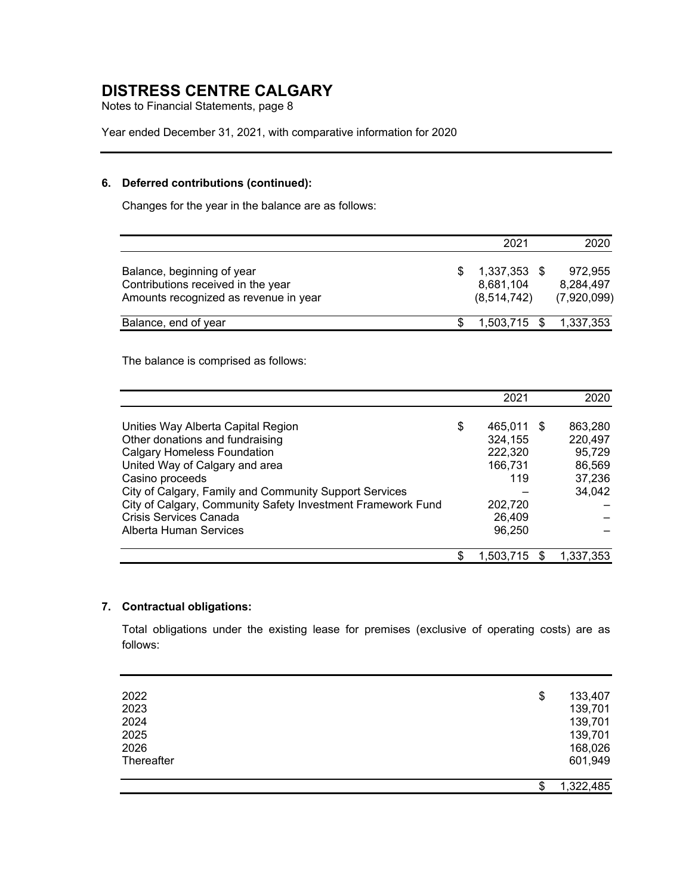Notes to Financial Statements, page 8

### Year ended December 31, 2021, with comparative information for 2020

### **6. Deferred contributions (continued):**

Changes for the year in the balance are as follows:

|                                                                                                           | 2021                                     | 2020                                |
|-----------------------------------------------------------------------------------------------------------|------------------------------------------|-------------------------------------|
| Balance, beginning of year<br>Contributions received in the year<br>Amounts recognized as revenue in year | 1,337,353 \$<br>8,681,104<br>(8,514,742) | 972,955<br>8,284,497<br>(7,920,099) |
| Balance, end of year                                                                                      |                                          | 1,503,715 \$ 1,337,353              |

The balance is comprised as follows:

|                                                             | 2021          |    | 2020      |
|-------------------------------------------------------------|---------------|----|-----------|
|                                                             |               |    |           |
| Unities Way Alberta Capital Region                          | \$<br>465,011 | -S | 863,280   |
| Other donations and fundraising                             | 324,155       |    | 220,497   |
| <b>Calgary Homeless Foundation</b>                          | 222,320       |    | 95,729    |
| United Way of Calgary and area                              | 166,731       |    | 86,569    |
| Casino proceeds                                             | 119           |    | 37,236    |
| City of Calgary, Family and Community Support Services      |               |    | 34,042    |
| City of Calgary, Community Safety Investment Framework Fund | 202,720       |    |           |
| Crisis Services Canada                                      | 26.409        |    |           |
| Alberta Human Services                                      | 96.250        |    |           |
|                                                             |               |    |           |
|                                                             | 1.503.715     | S  | 1,337,353 |

### **7. Contractual obligations:**

Total obligations under the existing lease for premises (exclusive of operating costs) are as follows:

| 2022<br>2023<br>2024<br>2025<br>2026<br>Thereafter | \$ | 133,407<br>139,701<br>139,701<br>139,701<br>168,026<br>601,949 |
|----------------------------------------------------|----|----------------------------------------------------------------|
|                                                    | S  | 1,322,485                                                      |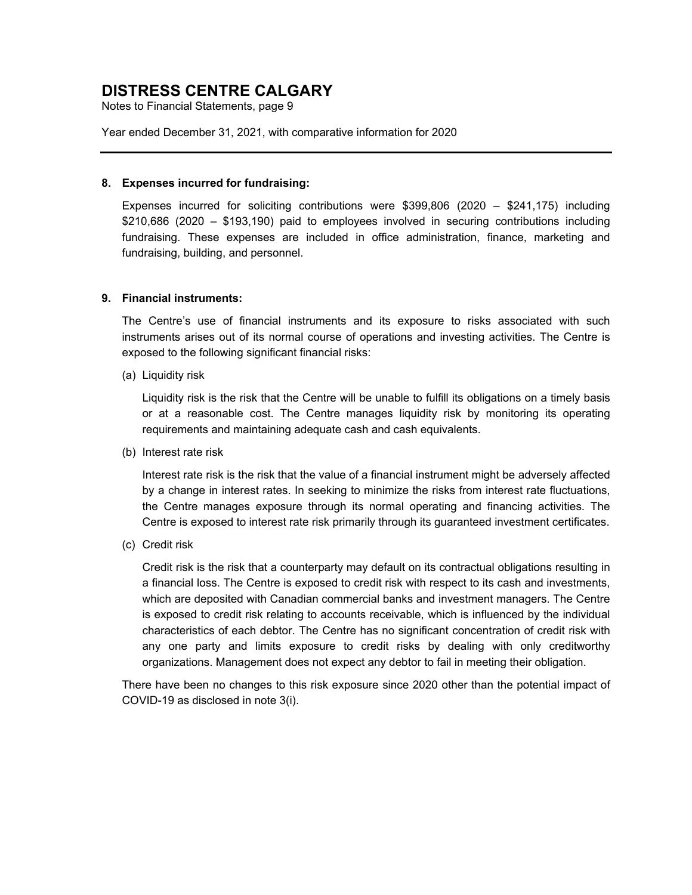Notes to Financial Statements, page 9

Year ended December 31, 2021, with comparative information for 2020

### **8. Expenses incurred for fundraising:**

Expenses incurred for soliciting contributions were \$399,806 (2020 – \$241,175) including \$210,686 (2020 – \$193,190) paid to employees involved in securing contributions including fundraising. These expenses are included in office administration, finance, marketing and fundraising, building, and personnel.

### **9. Financial instruments:**

The Centre's use of financial instruments and its exposure to risks associated with such instruments arises out of its normal course of operations and investing activities. The Centre is exposed to the following significant financial risks:

(a) Liquidity risk

Liquidity risk is the risk that the Centre will be unable to fulfill its obligations on a timely basis or at a reasonable cost. The Centre manages liquidity risk by monitoring its operating requirements and maintaining adequate cash and cash equivalents.

(b) Interest rate risk

Interest rate risk is the risk that the value of a financial instrument might be adversely affected by a change in interest rates. In seeking to minimize the risks from interest rate fluctuations, the Centre manages exposure through its normal operating and financing activities. The Centre is exposed to interest rate risk primarily through its guaranteed investment certificates.

(c) Credit risk

Credit risk is the risk that a counterparty may default on its contractual obligations resulting in a financial loss. The Centre is exposed to credit risk with respect to its cash and investments, which are deposited with Canadian commercial banks and investment managers. The Centre is exposed to credit risk relating to accounts receivable, which is influenced by the individual characteristics of each debtor. The Centre has no significant concentration of credit risk with any one party and limits exposure to credit risks by dealing with only creditworthy organizations. Management does not expect any debtor to fail in meeting their obligation.

There have been no changes to this risk exposure since 2020 other than the potential impact of COVID-19 as disclosed in note 3(i).